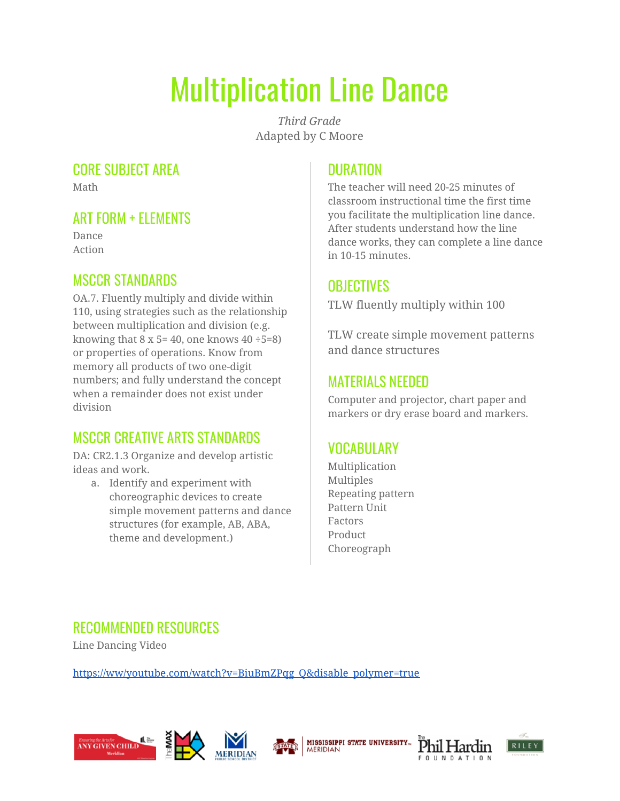# Multiplication Line Dance

*Third Grade* Adapted by C Moore

#### CORE SUBJECT AREA

Math

## ART FORM + ELEMENTS

Dance Action

## MSCCR STANDARDS

OA.7. Fluently multiply and divide within 110, using strategies such as the relationship between multiplication and division (e.g. knowing that  $8 \times 5 = 40$ , one knows  $40 \div 5 = 8$ ) or properties of operations. Know from memory all products of two one-digit numbers; and fully understand the concept when a remainder does not exist under division

# MSCCR CREATIVE ARTS STANDARDS

DA: CR2.1.3 Organize and develop artistic ideas and work.

a. Identify and experiment with choreographic devices to create simple movement patterns and dance structures (for example, AB, ABA, theme and development.)

#### **DURATION**

The teacher will need 20-25 minutes of classroom instructional time the first time you facilitate the multiplication line dance. After students understand how the line dance works, they can complete a line dance in 10-15 minutes.

#### **OBJECTIVES**

TLW fluently multiply within 100

TLW create simple movement patterns and dance structures

#### MATERIALS NEEDED

Computer and projector, chart paper and markers or dry erase board and markers.

# VOCABULARY

Multiplication Multiples Repeating pattern Pattern Unit Factors Product Choreograph

#### RECOMMENDED RESOURCES

Line Dancing Video

[https://ww/youtube.com/watch?v=BiuBmZPqg\\_Q&disable\\_polymer=true](https://ww/youtube.com/watch?v=BiuBmZPqg_Q&disable_polymer=true)









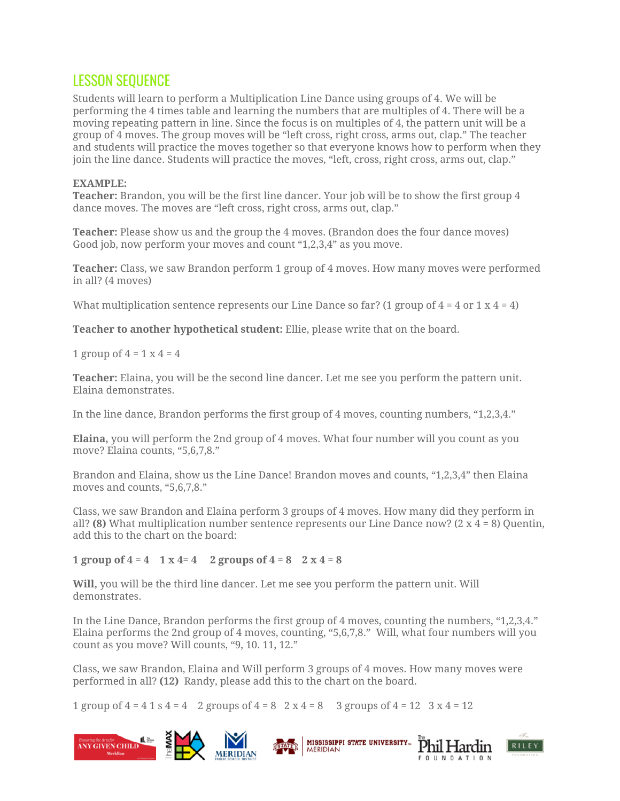#### LESSON SEQUENCE

Students will learn to perform a Multiplication Line Dance using groups of 4. We will be performing the 4 times table and learning the numbers that are multiples of 4. There will be a moving repeating pattern in line. Since the focus is on multiples of 4, the pattern unit will be a group of 4 moves. The group moves will be "left cross, right cross, arms out, clap." The teacher and students will practice the moves together so that everyone knows how to perform when they join the line dance. Students will practice the moves, "left, cross, right cross, arms out, clap."

#### **EXAMPLE:**

**Teacher:** Brandon, you will be the first line dancer. Your job will be to show the first group 4 dance moves. The moves are "left cross, right cross, arms out, clap."

**Teacher:** Please show us and the group the 4 moves. (Brandon does the four dance moves) Good job, now perform your moves and count "1,2,3,4" as you move.

**Teacher:** Class, we saw Brandon perform 1 group of 4 moves. How many moves were performed in all? (4 moves)

What multiplication sentence represents our Line Dance so far? (1 group of  $4 = 4$  or  $1 \times 4 = 4$ )

**Teacher to another hypothetical student:** Ellie, please write that on the board.

1 group of  $4 = 1 \times 4 = 4$ 

**Teacher:** Elaina, you will be the second line dancer. Let me see you perform the pattern unit. Elaina demonstrates.

In the line dance, Brandon performs the first group of 4 moves, counting numbers, "1,2,3,4."

**Elaina,** you will perform the 2nd group of 4 moves. What four number will you count as you move? Elaina counts, "5,6,7,8."

Brandon and Elaina, show us the Line Dance! Brandon moves and counts, "1,2,3,4" then Elaina moves and counts, "5,6,7,8."

Class, we saw Brandon and Elaina perform 3 groups of 4 moves. How many did they perform in all? **(8)** What multiplication number sentence represents our Line Dance now? (2 x 4 = 8) Quentin, add this to the chart on the board:

#### **1 group of 4 = 4 1 x 4= 4 2 groups of 4 = 8 2 x 4 = 8**

**Will,** you will be the third line dancer. Let me see you perform the pattern unit. Will demonstrates.

In the Line Dance, Brandon performs the first group of 4 moves, counting the numbers, "1,2,3,4." Elaina performs the 2nd group of 4 moves, counting, "5,6,7,8." Will, what four numbers will you count as you move? Will counts, "9, 10. 11, 12."

Class, we saw Brandon, Elaina and Will perform 3 groups of 4 moves. How many moves were performed in all? **(12)** Randy, please add this to the chart on the board.

1 group of  $4 = 4$  1 s  $4 = 4$  2 groups of  $4 = 8$  2 x  $4 = 8$  3 groups of  $4 = 12$  3 x  $4 = 12$ 





Phil Hardin

COUNDATION